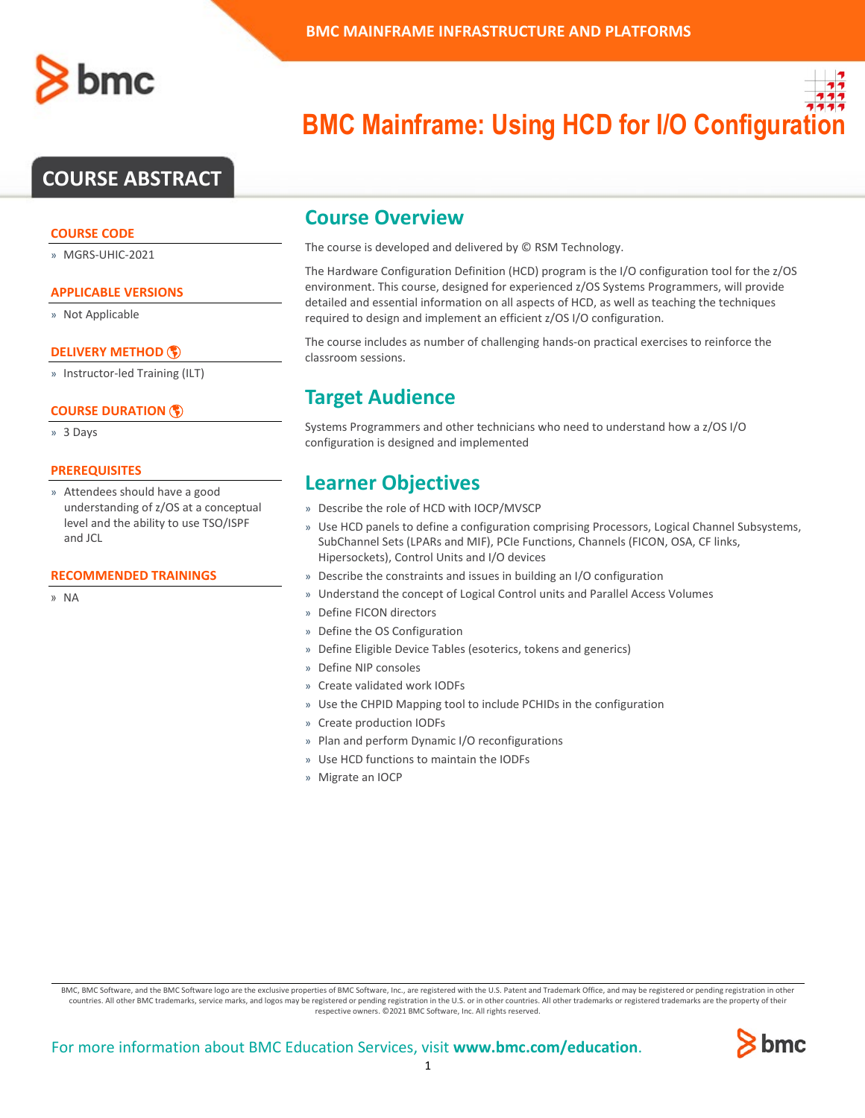# **COURSE ABSTRACT**

### **COURSE CODE**

» MGRS-UHIC-2021

## **APPLICABLE VERSIONS**

» Not Applicable

### **[DELIVERY METHOD](http://www.bmc.com/education/modality.html)**

» Instructor-led Training (ILT)

### **[COURSE DURATION](http://www.bmc.com/education/learning-paths/education-filters-learning-paths.html)**

» 3 Days

### **PREREQUISITES**

» Attendees should have a good understanding of z/OS at a conceptual level and the ability to use TSO/ISPF and JCL

#### **RECOMMENDED TRAININGS**

» NA

# **BMC Mainframe: Using HCD for I/O Configura**

## **Course Overview**

The course is developed and delivered by © RSM Technology.

The Hardware Configuration Definition (HCD) program is the I/O configuration tool for the z/OS environment. This course, designed for experienced z/OS Systems Programmers, will provide detailed and essential information on all aspects of HCD, as well as teaching the techniques required to design and implement an efficient z/OS I/O configuration.

The course includes as number of challenging hands-on practical exercises to reinforce the classroom sessions.

# **Target Audience**

Systems Programmers and other technicians who need to understand how a z/OS I/O configuration is designed and implemented

# **Learner Objectives**

- » Describe the role of HCD with IOCP/MVSCP
- » Use HCD panels to define a configuration comprising Processors, Logical Channel Subsystems, SubChannel Sets (LPARs and MIF), PCIe Functions, Channels (FICON, OSA, CF links, Hipersockets), Control Units and I/O devices
- » Describe the constraints and issues in building an I/O configuration
- » Understand the concept of Logical Control units and Parallel Access Volumes
- » Define FICON directors
- » Define the OS Configuration
- » Define Eligible Device Tables (esoterics, tokens and generics)
- » Define NIP consoles
- » Create validated work IODFs
- » Use the CHPID Mapping tool to include PCHIDs in the configuration
- » Create production IODFs
- » Plan and perform Dynamic I/O reconfigurations
- » Use HCD functions to maintain the IODFs
- » Migrate an IOCP

BMC, BMC Software, and the BMC Software logo are the exclusive properties of BMC Software, Inc., are registered with the U.S. Patent and Trademark Office, and may be registered or pending registration in other countries. All other BMC trademarks, service marks, and logos may be registered or pending registration in the U.S. or in other countries. All other trademarks or registered trademarks are the property of their respective owners. ©2021 BMC Software, Inc. All rights reserved.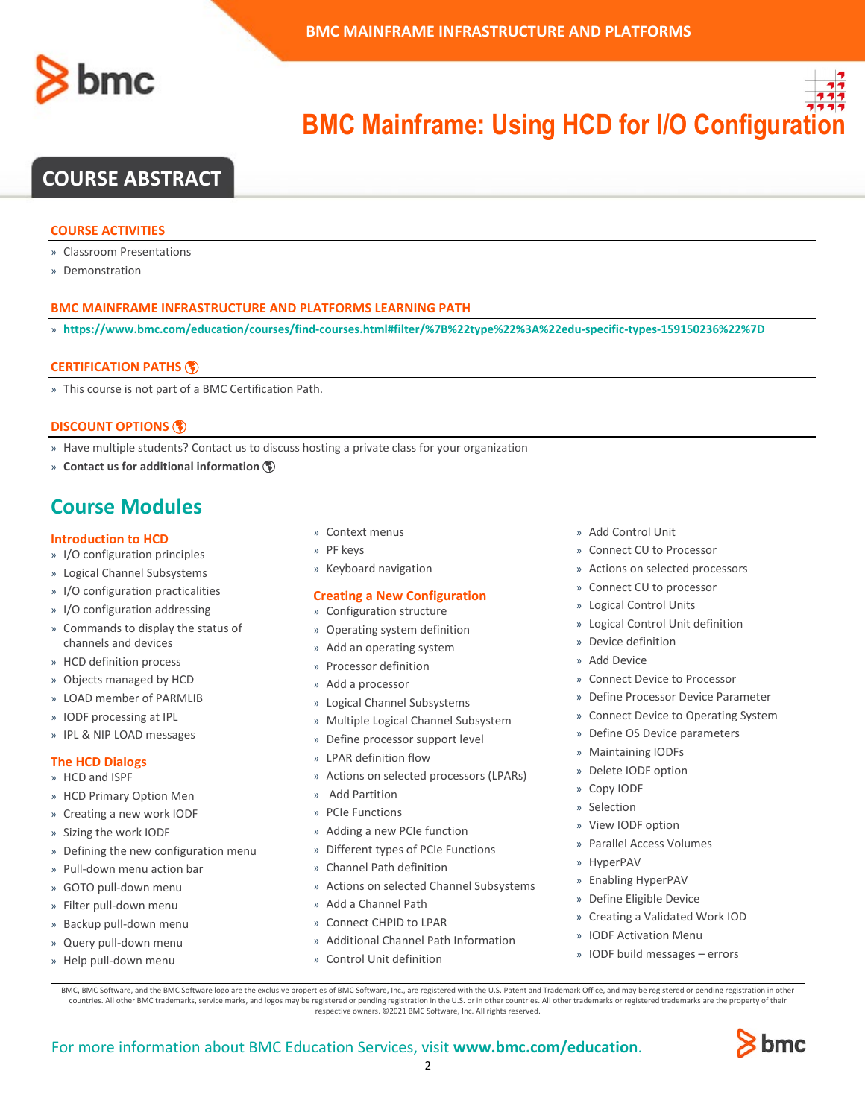



# **COURSE ABSTRACT**

#### **COURSE ACTIVITIES**

- » Classroom Presentations
- » Demonstration

### **BMC MAINFRAME INFRASTRUCTURE AND PLATFORMS LEARNING PATH**

» **<https://www.bmc.com/education/courses/find-courses.html#filter/%7B%22type%22%3A%22edu-specific-types-159150236%22%7D>**

#### **[CERTIFICATION PATHS](http://www.bmc.com/education/certification-programs)**

» This course is not part of a BMC Certification Path.

#### **[DISCOUNT OPTIONS](http://www.bmc.com/education/customer-service/customer-service.html)**

- » Have multiple students? Contact us to discuss hosting a private class for your organization
- » **[Contact us for additional information](http://www.bmc.com/education)**

# **Course Modules**

#### **Introduction to HCD**

- » I/O configuration principles
- » Logical Channel Subsystems
- » I/O configuration practicalities
- » I/O configuration addressing
- » Commands to display the status of channels and devices
- » HCD definition process
- » Objects managed by HCD
- » LOAD member of PARMLIB
- » IODF processing at IPL
- » IPL & NIP LOAD messages

#### **The HCD Dialogs**

- » HCD and ISPF
- » HCD Primary Option Men
- » Creating a new work IODF
- » Sizing the work IODF
- » Defining the new configuration menu
- » Pull-down menu action bar
- » GOTO pull-down menu
- » Filter pull-down menu
- » Backup pull-down menu
- » Query pull-down menu
- » Help pull-down menu
- » Context menus
- » PF keys
- » Keyboard navigation

#### **Creating a New Configuration**

- » Configuration structure
- » Operating system definition
- » Add an operating system
- » Processor definition
- » Add a processor
- » Logical Channel Subsystems
- » Multiple Logical Channel Subsystem
- » Define processor support level
- » LPAR definition flow
- » Actions on selected processors (LPARs)
- » Add Partition
- » PCIe Functions
- » Adding a new PCIe function
- » Different types of PCIe Functions
- » Channel Path definition
- » Actions on selected Channel Subsystems
- » Add a Channel Path
- » Connect CHPID to LPAR
- » Additional Channel Path Information
- » Control Unit definition
- » Add Control Unit
- » Connect CU to Processor
- » Actions on selected processors
- » Connect CU to processor
- » Logical Control Units
- » Logical Control Unit definition
- » Device definition
- » Add Device
- » Connect Device to Processor
- » Define Processor Device Parameter
- » Connect Device to Operating System
- » Define OS Device parameters
- » Maintaining IODFs
- » Delete IODF option
- » Copy IODF
- » Selection
- » View IODF option
- » Parallel Access Volumes
- » HyperPAV
- » Enabling HyperPAV
- » Define Eligible Device
- » Creating a Validated Work IOD
- » IODF Activation Menu
- » IODF build messages errors

BMC, BMC Software, and the BMC Software logo are the exclusive properties of BMC Software, Inc., are registered with the U.S. Patent and Trademark Office, and may be registered or pending registration in other countries. All other BMC trademarks, service marks, and logos may be registered or pending registration in the U.S. or in other countries. All other trademarks or registered trademarks are the property of their respective owners. ©2021 BMC Software, Inc. All rights reserved.

 $\mathfrak{Z}$